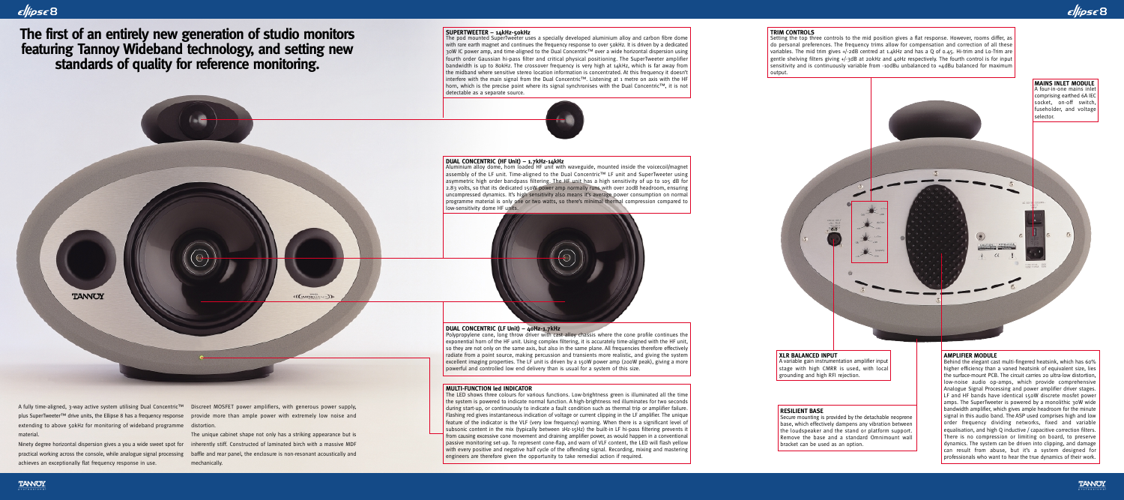A fully time-aligned, 3-way active system utilising Dual Concentric™ Discreet MOSFET power amplifiers, with generous power supply, plus SuperTweeter™ drive units, the Ellipse 8 has a frequency response extending to above 50kHz for monitoring of wideband programme distortion. material.

**TANNOY** 

practical working across the console, while analogue signal processing achieves an exceptionally flat frequency response in use.

Ninety degree horizontal dispersion gives a you a wide sweet spot for  $\;$  inherently stiff. Constructed of laminated birch with a massive MDF The unique cabinet shape not only has a striking appearance but is baffle and rear panel, the enclosure is non-resonant acoustically and mechanically.

provide more than ample power with extremely low noise and

(((WIDBIAND))

# Ellipse B

**The first of an entirely new generation of studio monitors featuring Tannoy Wideband technology, and setting new standards of quality for reference monitoring.** 

Setting the top three controls to the mid position gives a flat response. However, rooms differ, as do personal preferences. The frequency trims allow for compensation and correction of all these variables. The mid trim gives +/-2dB centred at 1.4kHz and has a Q of 0.45. Hi-trim and Lo-Trim are gentle shelving filters giving +/-3dB at 20kHz and 40Hz respectively. The fourth control is for input sensitivity and is continuously variable from -10dBu unbalanced to +4dBu balanced for maximum output.

#### **SUPERTWEETER – 14kHz-50kHz**

The pod mounted SuperTweeter uses a specially developed aluminium alloy and carbon fibre dome with rare earth magnet and continues the frequency response to over 50kHz. It is driven by a dedicated 30W IC power amp, and time-aligned to the Dual Concentric™ over a wide horizontal dispersion using fourth order Gaussian hi-pass filter and critical physical positioning. The SuperTweeter amplifier bandwidth is up to 80kHz. The crossover frequency is very high at 14kHz, which is far away from the midband where sensitive stereo location information is concentrated. At this frequency it doesn't interfere with the main signal from the Dual Concentric™. Listening at 1 metre on axis with the HF horn, which is the precise point where its signal synchronises with the Dual Concentric™, it is not detectable as a separate source.

> A variable gain instrumentation amplifier input stage with high CMRR is used, with local grounding and high RFI rejection.

#### **TRIM CONTROLS**

#### **AMPLIFIER MODULE**

Behind the elegant cast multi-fingered heatsink, which has 60% higher efficiency than a vaned heatsink of equivalent size, lies the surface-mount PCB. The circuit carries 20 ultra-low distortion, low-noise audio op-amps, which provide comprehensive Analogue Signal Processing and power amplifier driver stages. LF and HF bands have identical 150W discrete mosfet power amps. The SuperTweeter is powered by a monolithic 30W wide bandwidth amplifier, which gives ample headroom for the minute signal in this audio band. The ASP used comprises high and low order frequency dividing networks, fixed and variable equalisation, and high Q inductive / capacitive correction filters. There is no compression or limiting on board, to preserve dynamics. The system can be driven into clipping, and damage can result from abuse, but it's a system designed for professionals who want to hear the true dynamics of their work.

The LED shows three colours for various functions. Low-brightness green is illuminated all the time the system is powered to indicate normal function. A high-brightness red illuminates for two seconds during start-up, or continuously to indicate a fault condition such as thermal trip or amplifier failure. Flashing red gives instantaneous indication of voltage or current clipping in the LF amplifier. The unique feature of the indicator is the VLF (very low frequency) warning. When there is a significant level of subsonic content in the mix (typically between 1Hz-15Hz) the built-in LF hi-pass filtering prevents it from causing excessive cone movement and draining amplifier power, as would happen in a conventional passive monitoring set-up. To represent cone-flap, and warn of VLF content, the LED will flash yellow with every positive and negative half cycle of the offending signal. Recording, mixing and mastering engineers are therefore given the opportunity to take remedial action if required.



#### **XLR BALANCED INPUT**

#### **RESILIENT BASE**

Secure mounting is provided by the detachable neoprene base, which effectively dampens any vibration between the loudspeaker and the stand or platform support. Remove the base and a standard Omnimount wall bracket can be used as an option.

#### **DUAL CONCENTRIC (HF Unit) – 1.7kHz-14kHz** Aluminium alloy dome, horn loaded HF unit with waveguide, mounted inside the voicecoil/magnet assembly of the LF unit. Time-aligned to the Dual Concentric™ LF unit and SuperTweeter using asymmetric high order bandpass filtering. The HF unit has a high sensitivity of up to 105 dB for 2.83 volts, so that its dedicated 150W power amp normally runs with over 20dB headroom, ensuring uncompressed dynamics. It's high sensitivity also means it's average power consumption on normal programme material is only one or two watts, so there's minimal thermal compression compared to low-sensitivity dome HF units.

**DUAL CONCENTRIC (LF Unit) – 40Hz-1.7kHz**

Polypropylene cone, long throw driver with cast alloy chassis where the cone profile continues the exponential horn of the HF unit. Using complex filtering, it is accurately time-aligned with the HF unit, so they are not only on the same axis, but also in the same plane. All frequencies therefore effectively radiate from a point source, making percussion and transients more realistic, and giving the system excellent imaging properties. The LF unit is driven by a 150W power amp (200W peak), giving a more powerful and controlled low end delivery than is usual for a system of this size.

### **MULTI-FUNCTION led INDICATOR**

Ellipse 8